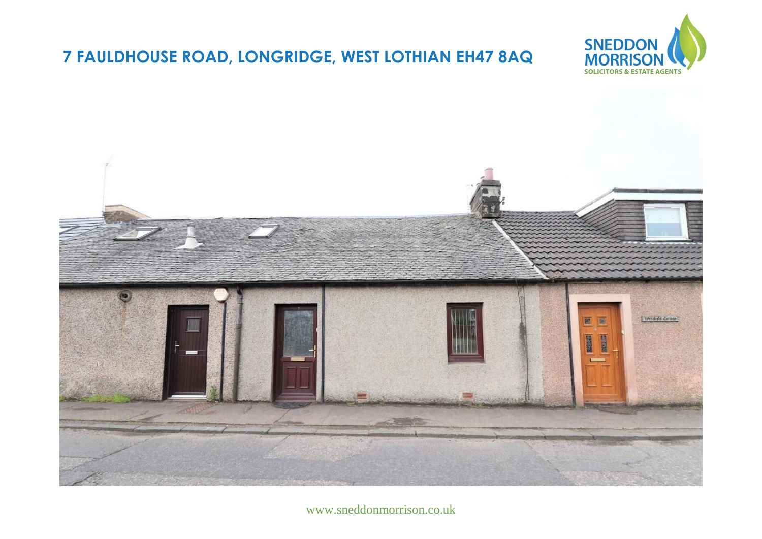## **7 FAULDHOUSE ROAD, LONGRIDGE, WEST LOTHIAN EH47 8AQ**





www.sneddonmorrison.co.uk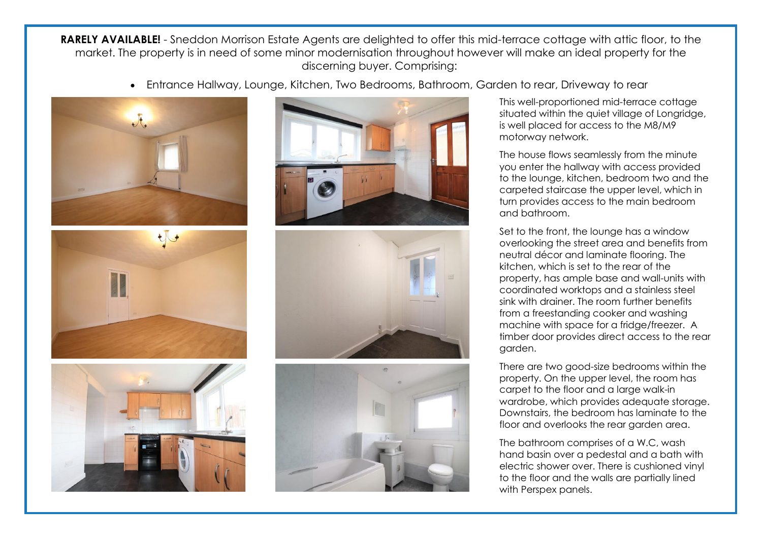**RARELY AVAILABLE!** - Sneddon Morrison Estate Agents are delighted to offer this mid-terrace cottage with attic floor, to the market. The property is in need of some minor modernisation throughout however will make an ideal property for the discerning buyer. Comprising:

Entrance Hallway, Lounge, Kitchen, Two Bedrooms, Bathroom, Garden to rear, Driveway to rear













This well-proportioned mid-terrace cottage situated within the quiet village of Longridge, is well placed for access to the M8/M9 motorway network.

The house flows seamlessly from the minute you enter the hallway with access provided to the lounge, kitchen, bedroom two and the carpeted staircase the upper level, which in turn provides access to the main bedroom and bathroom.

Set to the front, the lounge has a window overlooking the street area and benefits from neutral décor and laminate flooring. The kitchen, which is set to the rear of the property, has ample base and wall-units with coordinated worktops and a stainless steel sink with drainer. The room further benefits from a freestanding cooker and washing machine with space for a fridge/freezer. A timber door provides direct access to the rear garden.

There are two good-size bedrooms within the property. On the upper level, the room has carpet to the floor and a large walk-in wardrobe, which provides adequate storage. Downstairs, the bedroom has laminate to the floor and overlooks the rear garden area.

The bathroom comprises of a W.C, wash hand basin over a pedestal and a bath with electric shower over. There is cushioned vinyl to the floor and the walls are partially lined with Perspex panels.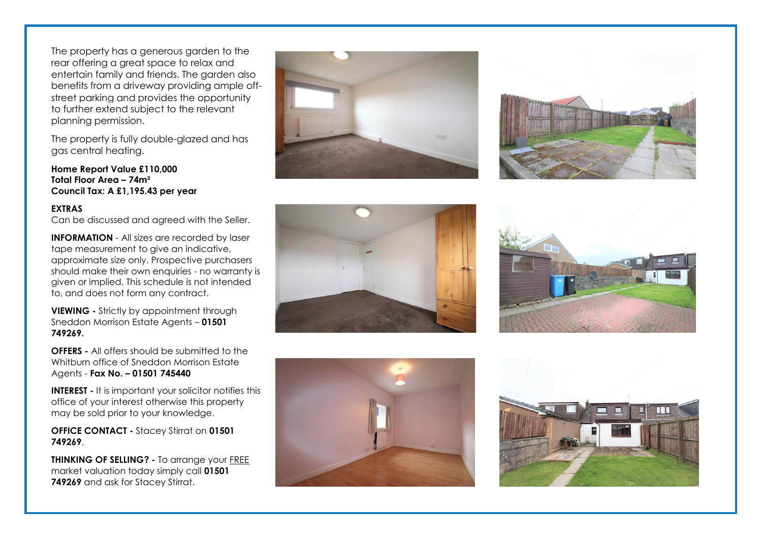The property has a generous garden to the rear offering a great space to relax and entertain family and friends. The garden also benefits from a driveway providing ample offstreet parking and provides the opportunity to further extend subject to the relevant planning permission.

The property is fully double-glazed and has gas central heating.

**Home Report Value £110,000 Total Floor Area – 74m² Council Tax: A £1,195.43 per year**

## **EXTRAS**

Can be discussed and agreed with the Seller.

**INFORMATION** - All sizes are recorded by laser tape measurement to give an indicative, approximate size only. Prospective purchasers should make their own enquiries - no warranty is given or implied. This schedule is not intended to, and does not form any contract.

**VIEWING -** Strictly by appointment through Sneddon Morrison Estate Agents – **01501 749269.** 

**OFFERS -** All offers should be submitted to the Whitburn office of Sneddon Morrison Estate Agents - **Fax No. – 01501 745440** 

**INTEREST -** It is important your solicitor notifies this office of your interest otherwise this property may be sold prior to your knowledge.

**OFFICE CONTACT -** Stacey Stirrat on **01501 749269**.

**THINKING OF SELLING? -** To arrange your FREE market valuation today simply call **01501 749269** and ask for Stacey Stirrat.